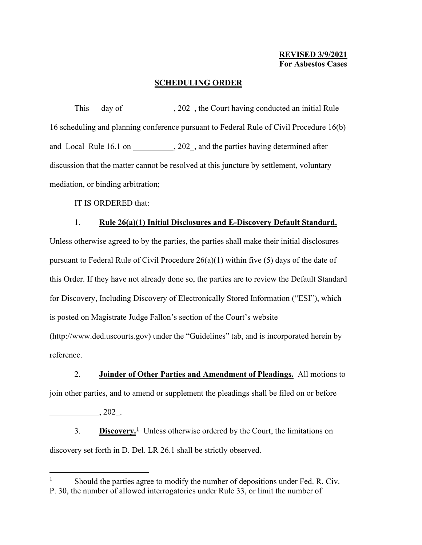## **SCHEDULING ORDER**

This day of  $\frac{1}{202}$ , the Court having conducted an initial Rule 16 scheduling and planning conference pursuant to Federal Rule of Civil Procedure 16(b) and Local Rule 16.1 on  $\qquad \qquad .202$ , and the parties having determined after discussion that the matter cannot be resolved at this juncture by settlement, voluntary mediation, or binding arbitration;

IT IS ORDERED that:

## 1. **Rule 26(a)(1) Initial Disclosures and E-Discovery Default Standard.**

Unless otherwise agreed to by the parties, the parties shall make their initial disclosures pursuant to Federal Rule of Civil Procedure  $26(a)(1)$  within five (5) days of the date of this Order. If they have not already done so, the parties are to review the Default Standard for Discovery, Including Discovery of Electronically Stored Information ("ESI"), which is posted on Magistrate Judge Fallon's section of the Court's website (http://www.ded.uscourts.gov) under the "Guidelines" tab, and is incorporated herein by reference.

2. **Joinder of Other Parties and Amendment of Pleadings.** All motions to join other parties, and to amend or supplement the pleadings shall be filed on or before

 $, 202 \_$ 

3. **Discovery.[1](#page-0-0)** Unless otherwise ordered by the Court, the limitations on discovery set forth in D. Del. LR 26.1 shall be strictly observed.

<span id="page-0-0"></span>Should the parties agree to modify the number of depositions under Fed. R. Civ. P. 30, the number of allowed interrogatories under Rule 33, or limit the number of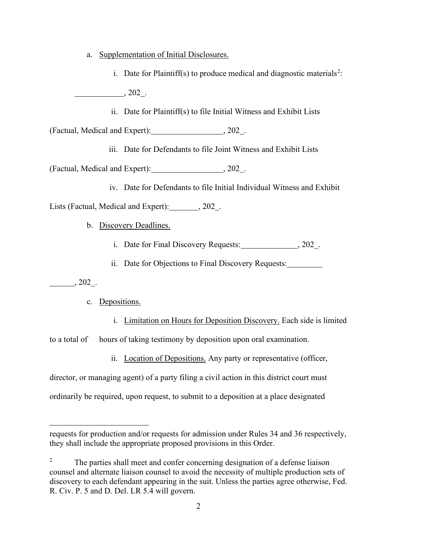- a. Supplementation of Initial Disclosures.
	- i. Date for Plaintiff(s) to produce medical and diagnostic materials<sup>[2](#page-1-0)</sup>:

, 202 .

ii. Date for Plaintiff(s) to file Initial Witness and Exhibit Lists

(Factual, Medical and Expert): , 202.

iii. Date for Defendants to file Joint Witness and Exhibit Lists

(Factual, Medical and Expert): , 202 .

iv. Date for Defendants to file Initial Individual Witness and Exhibit

Lists (Factual, Medical and Expert): 302.

- b. Discovery Deadlines.
	- i. Date for Final Discovery Requests: 3.202.
	- ii. Date for Objections to Final Discovery Requests:

, 202 .

c. Depositions.

i. Limitation on Hours for Deposition Discovery. Each side is limited to a total of hours of taking testimony by deposition upon oral examination.

ii. Location of Depositions. Any party or representative (officer,

director, or managing agent) of a party filing a civil action in this district court must

ordinarily be required, upon request, to submit to a deposition at a place designated

requests for production and/or requests for admission under Rules 34 and 36 respectively, they shall include the appropriate proposed provisions in this Order.

<span id="page-1-0"></span><sup>2</sup> The parties shall meet and confer concerning designation of a defense liaison counsel and alternate liaison counsel to avoid the necessity of multiple production sets of discovery to each defendant appearing in the suit. Unless the parties agree otherwise, Fed. R. Civ. P. 5 and D. Del. LR 5.4 will govern.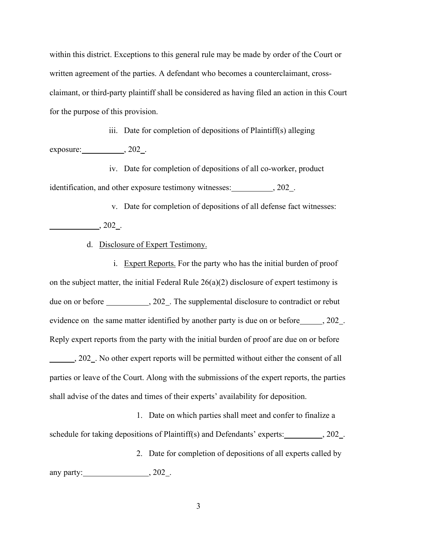within this district. Exceptions to this general rule may be made by order of the Court or written agreement of the parties. A defendant who becomes a counterclaimant, crossclaimant, or third-party plaintiff shall be considered as having filed an action in this Court for the purpose of this provision.

iii. Date for completion of depositions of Plaintiff(s) alleging  $exposure:$ ,  $202$ .

iv. Date for completion of depositions of all co-worker, product identification, and other exposure testimony witnesses: 302.

v. Date for completion of depositions of all defense fact witnesses:

 $\frac{1}{202}$ , 202<sup>2</sup>.

d. Disclosure of Expert Testimony.

i. Expert Reports. For the party who has the initial burden of proof on the subject matter, the initial Federal Rule 26(a)(2) disclosure of expert testimony is due on or before \_\_\_\_\_\_\_\_\_\_\_, 202\_. The supplemental disclosure to contradict or rebut evidence on the same matter identified by another party is due on or before \_\_\_\_\_\_, 202\_. Reply expert reports from the party with the initial burden of proof are due on or before 5. 202. No other expert reports will be permitted without either the consent of all parties or leave of the Court. Along with the submissions of the expert reports, the parties shall advise of the dates and times of their experts' availability for deposition.

1. Date on which parties shall meet and confer to finalize a schedule for taking depositions of Plaintiff(s) and Defendants' experts: \_\_\_\_\_\_\_\_, 202\_. 2. Date for completion of depositions of all experts called by any party:  $\qquad \qquad .202 \qquad .$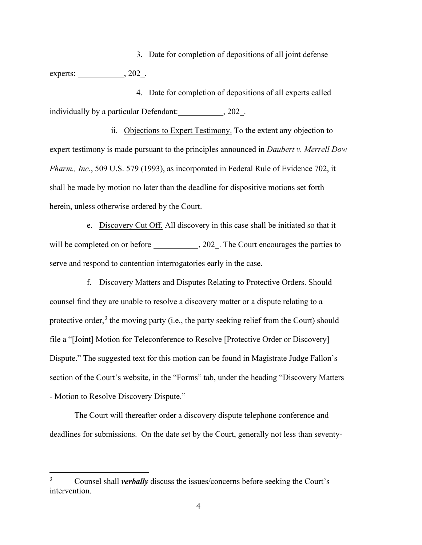3. Date for completion of depositions of all joint defense experts: \_\_\_\_\_\_\_\_\_\_\_\_\_\_\_, 202\_.

4. Date for completion of depositions of all experts called individually by a particular Defendant: , 202 .

ii. Objections to Expert Testimony. To the extent any objection to expert testimony is made pursuant to the principles announced in *Daubert v. Merrell Dow Pharm., Inc.*, 509 U.S. 579 (1993), as incorporated in Federal Rule of Evidence 702, it shall be made by motion no later than the deadline for dispositive motions set forth herein, unless otherwise ordered by the Court.

e. Discovery Cut Off. All discovery in this case shall be initiated so that it will be completed on or before \_\_\_\_\_\_\_\_\_\_\_\_\_, 202\_. The Court encourages the parties to serve and respond to contention interrogatories early in the case.

f. Discovery Matters and Disputes Relating to Protective Orders. Should counsel find they are unable to resolve a discovery matter or a dispute relating to a protective order, $3$  the moving party (i.e., the party seeking relief from the Court) should file a "[Joint] Motion for Teleconference to Resolve [Protective Order or Discovery] Dispute." The suggested text for this motion can be found in Magistrate Judge Fallon's section of the Court's website, in the "Forms" tab, under the heading "Discovery Matters - Motion to Resolve Discovery Dispute."

The Court will thereafter order a discovery dispute telephone conference and deadlines for submissions. On the date set by the Court, generally not less than seventy-

<span id="page-3-0"></span><sup>3</sup> Counsel shall *verbally* discuss the issues/concerns before seeking the Court's intervention.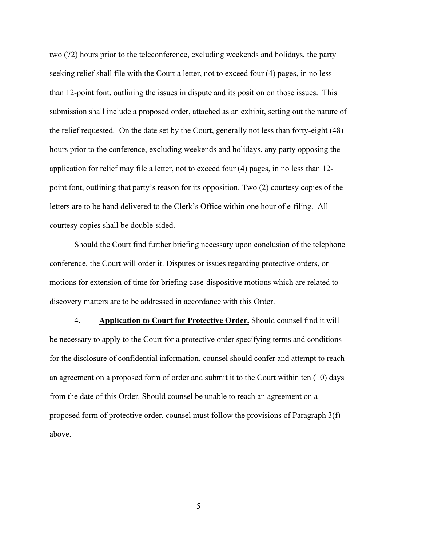two (72) hours prior to the teleconference, excluding weekends and holidays, the party seeking relief shall file with the Court a letter, not to exceed four (4) pages, in no less than 12-point font, outlining the issues in dispute and its position on those issues. This submission shall include a proposed order, attached as an exhibit, setting out the nature of the relief requested. On the date set by the Court, generally not less than forty-eight (48) hours prior to the conference, excluding weekends and holidays, any party opposing the application for relief may file a letter, not to exceed four (4) pages, in no less than 12 point font, outlining that party's reason for its opposition. Two (2) courtesy copies of the letters are to be hand delivered to the Clerk's Office within one hour of e-filing. All courtesy copies shall be double-sided.

Should the Court find further briefing necessary upon conclusion of the telephone conference, the Court will order it. Disputes or issues regarding protective orders, or motions for extension of time for briefing case-dispositive motions which are related to discovery matters are to be addressed in accordance with this Order.

4. **Application to Court for Protective Order.** Should counsel find it will be necessary to apply to the Court for a protective order specifying terms and conditions for the disclosure of confidential information, counsel should confer and attempt to reach an agreement on a proposed form of order and submit it to the Court within ten (10) days from the date of this Order. Should counsel be unable to reach an agreement on a proposed form of protective order, counsel must follow the provisions of Paragraph 3(f) above.

5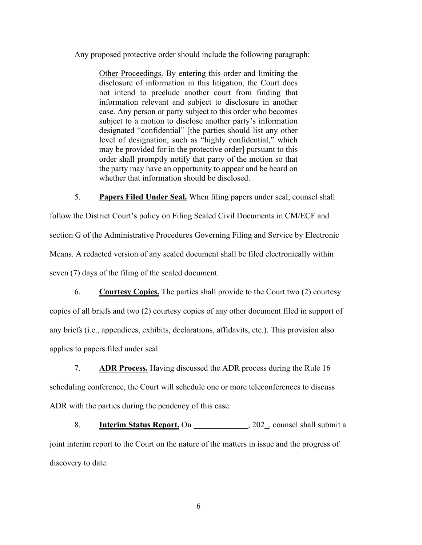Any proposed protective order should include the following paragraph:

Other Proceedings. By entering this order and limiting the disclosure of information in this litigation, the Court does not intend to preclude another court from finding that information relevant and subject to disclosure in another case. Any person or party subject to this order who becomes subject to a motion to disclose another party's information designated "confidential" [the parties should list any other level of designation, such as "highly confidential," which may be provided for in the protective order] pursuant to this order shall promptly notify that party of the motion so that the party may have an opportunity to appear and be heard on whether that information should be disclosed.

5. **Papers Filed Under Seal.** When filing papers under seal, counsel shall follow the District Court's policy on Filing Sealed Civil Documents in CM/ECF and section G of the Administrative Procedures Governing Filing and Service by Electronic Means. A redacted version of any sealed document shall be filed electronically within seven (7) days of the filing of the sealed document.

6. **Courtesy Copies.** The parties shall provide to the Court two (2) courtesy copies of all briefs and two (2) courtesy copies of any other document filed in support of any briefs (i.e., appendices, exhibits, declarations, affidavits, etc.). This provision also applies to papers filed under seal.

7. **ADR Process.** Having discussed the ADR process during the Rule 16 scheduling conference, the Court will schedule one or more teleconferences to discuss ADR with the parties during the pendency of this case.

8. **Interim Status Report.** On , 202 , counsel shall submit a joint interim report to the Court on the nature of the matters in issue and the progress of discovery to date.

6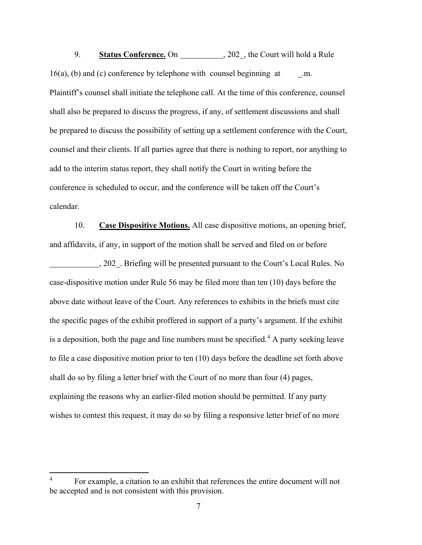9. **Status Conference.** On \_\_\_\_\_\_\_\_\_\_, 202\_, the Court will hold a Rule  $16(a)$ , (b) and (c) conference by telephone with counsel beginning at  $\ldots$ .m. Plaintiff's counsel shall initiate the telephone call. At the time of this conference, counsel shall also be prepared to discuss the progress, if any, of settlement discussions and shall be prepared to discuss the possibility of setting up a settlement conference with the Court, counsel and their clients. If all parties agree that there is nothing to report, nor anything to add to the interim status report, they shall notify the Court in writing before the conference is scheduled to occur, and the conference will be taken off the Court's calendar.

10. **Case Dispositive Motions.** All case dispositive motions, an opening brief, and affidavits, if any, in support of the motion shall be served and filed on or before

, 202 . Briefing will be presented pursuant to the Court's Local Rules. No case-dispositive motion under Rule 56 may be filed more than ten (10) days before the above date without leave of the Court. Any references to exhibits in the briefs must cite the specific pages of the exhibit proffered in support of a party's argument. If the exhibit is a deposition, both the page and line numbers must be specified.<sup>[4](#page-6-0)</sup> A party seeking leave to file a case dispositive motion prior to ten (10) days before the deadline set forth above shall do so by filing a letter brief with the Court of no more than four (4) pages, explaining the reasons why an earlier-filed motion should be permitted. If any party wishes to contest this request, it may do so by filing a responsive letter brief of no more

<span id="page-6-0"></span><sup>4</sup> For example, a citation to an exhibit that references the entire document will not be accepted and is not consistent with this provision.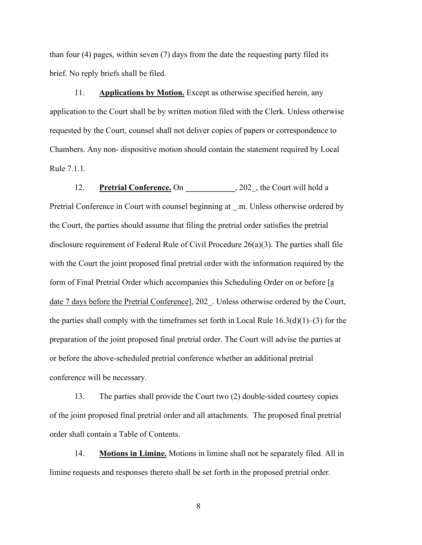than four (4) pages, within seven (7) days from the date the requesting party filed its brief. No reply briefs shall be filed.

11. **Applications by Motion.** Except as otherwise specified herein, any application to the Court shall be by written motion filed with the Clerk. Unless otherwise requested by the Court, counsel shall not deliver copies of papers or correspondence to Chambers. Any non- dispositive motion should contain the statement required by Local Rule 7.1.1.

12. **Pretrial Conference.** On 202, the Court will hold a Pretrial Conference in Court with counsel beginning at .m. Unless otherwise ordered by the Court, the parties should assume that filing the pretrial order satisfies the pretrial disclosure requirement of Federal Rule of Civil Procedure 26(a)(3). The parties shall file with the Court the joint proposed final pretrial order with the information required by the form of Final Pretrial Order which accompanies this Scheduling Order on or before [a date 7 days before the Pretrial Conference], 202 . Unless otherwise ordered by the Court, the parties shall comply with the timeframes set forth in Local Rule  $16.3(d)(1)$ –(3) for the preparation of the joint proposed final pretrial order. The Court will advise the parties at or before the above-scheduled pretrial conference whether an additional pretrial conference will be necessary.

13. The parties shall provide the Court two (2) double-sided courtesy copies of the joint proposed final pretrial order and all attachments. The proposed final pretrial order shall contain a Table of Contents.

14. **Motions in Limine.** Motions in limine shall not be separately filed. All in limine requests and responses thereto shall be set forth in the proposed pretrial order.

8